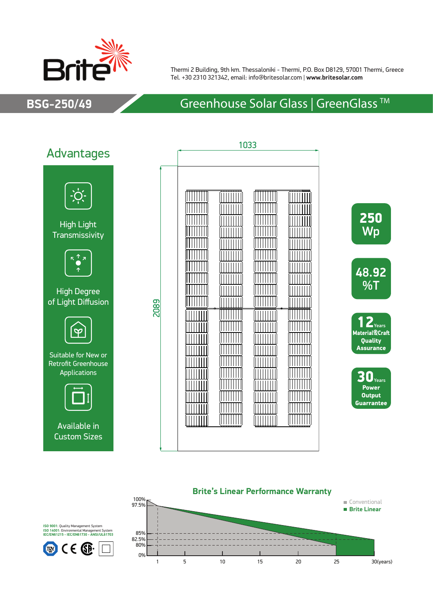

Thermi 2 Building, 9th km. Thessaloniki - Thermi, P.O. Box D8129, 57001 Thermi, Greece Tel. +30 2310 321342, email: info@britesolar.com | **www.britesolar.com**

# **BSG-250/49** Greenhouse Solar Glass | GreenGlass ™











**ISO 9001**: Quality Management System **ISO 14001**: Environmental Management System **IEC/EN61215 - IEC/EN61730 - ANSI/UL61703**